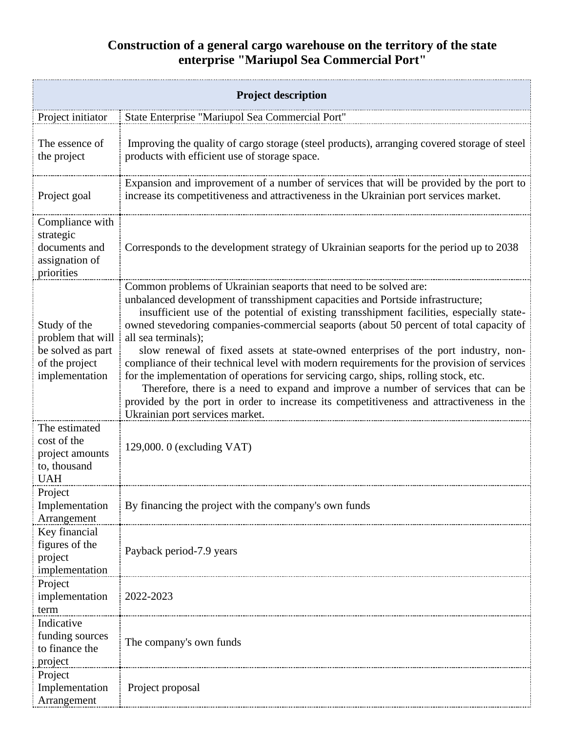## **Construction of a general cargo warehouse on the territory of the state enterprise "Mariupol Sea Commercial Port"**

| <b>Project description</b>                                                                 |                                                                                                                                                                                                                                                                                                                                                                                                                                                                                                                                                                                                                                                                                                                                                                                                                                                                   |  |
|--------------------------------------------------------------------------------------------|-------------------------------------------------------------------------------------------------------------------------------------------------------------------------------------------------------------------------------------------------------------------------------------------------------------------------------------------------------------------------------------------------------------------------------------------------------------------------------------------------------------------------------------------------------------------------------------------------------------------------------------------------------------------------------------------------------------------------------------------------------------------------------------------------------------------------------------------------------------------|--|
| Project initiator                                                                          | State Enterprise "Mariupol Sea Commercial Port"                                                                                                                                                                                                                                                                                                                                                                                                                                                                                                                                                                                                                                                                                                                                                                                                                   |  |
| The essence of<br>the project                                                              | Improving the quality of cargo storage (steel products), arranging covered storage of steel<br>products with efficient use of storage space.                                                                                                                                                                                                                                                                                                                                                                                                                                                                                                                                                                                                                                                                                                                      |  |
| Project goal                                                                               | Expansion and improvement of a number of services that will be provided by the port to<br>increase its competitiveness and attractiveness in the Ukrainian port services market.                                                                                                                                                                                                                                                                                                                                                                                                                                                                                                                                                                                                                                                                                  |  |
| Compliance with<br>strategic<br>documents and<br>assignation of<br>priorities              | Corresponds to the development strategy of Ukrainian seaports for the period up to 2038                                                                                                                                                                                                                                                                                                                                                                                                                                                                                                                                                                                                                                                                                                                                                                           |  |
| Study of the<br>problem that will<br>be solved as part<br>of the project<br>implementation | Common problems of Ukrainian seaports that need to be solved are:<br>unbalanced development of transshipment capacities and Portside infrastructure;<br>insufficient use of the potential of existing transshipment facilities, especially state-<br>owned stevedoring companies-commercial seaports (about 50 percent of total capacity of<br>all sea terminals);<br>slow renewal of fixed assets at state-owned enterprises of the port industry, non-<br>compliance of their technical level with modern requirements for the provision of services<br>for the implementation of operations for servicing cargo, ships, rolling stock, etc.<br>Therefore, there is a need to expand and improve a number of services that can be<br>provided by the port in order to increase its competitiveness and attractiveness in the<br>Ukrainian port services market. |  |
| The estimated<br>cost of the<br>project amounts<br>to, thousand<br><b>UAH</b>              | 129,000. $0$ (excluding VAT)                                                                                                                                                                                                                                                                                                                                                                                                                                                                                                                                                                                                                                                                                                                                                                                                                                      |  |
| Project<br>Implementation<br>Arrangement                                                   | By financing the project with the company's own funds                                                                                                                                                                                                                                                                                                                                                                                                                                                                                                                                                                                                                                                                                                                                                                                                             |  |
| Key financial<br>figures of the<br>project<br>implementation                               | Payback period-7.9 years                                                                                                                                                                                                                                                                                                                                                                                                                                                                                                                                                                                                                                                                                                                                                                                                                                          |  |
| Project<br>implementation<br>term                                                          | 2022-2023                                                                                                                                                                                                                                                                                                                                                                                                                                                                                                                                                                                                                                                                                                                                                                                                                                                         |  |
| Indicative<br>funding sources<br>to finance the<br>project                                 | The company's own funds                                                                                                                                                                                                                                                                                                                                                                                                                                                                                                                                                                                                                                                                                                                                                                                                                                           |  |
| Project<br>Implementation<br>Arrangement                                                   | Project proposal                                                                                                                                                                                                                                                                                                                                                                                                                                                                                                                                                                                                                                                                                                                                                                                                                                                  |  |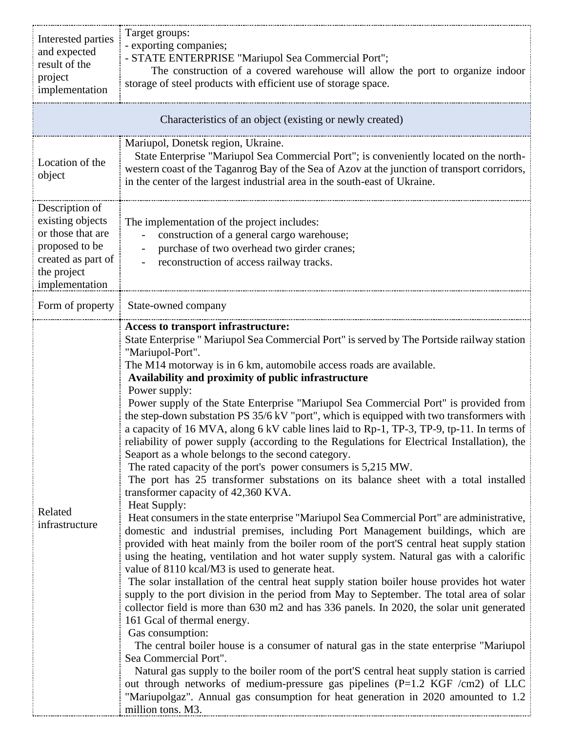| Interested parties<br>and expected<br>result of the<br>project<br>implementation                                                 | Target groups:<br>- exporting companies;<br>- STATE ENTERPRISE "Mariupol Sea Commercial Port";<br>The construction of a covered warehouse will allow the port to organize indoor<br>storage of steel products with efficient use of storage space.                                                                                                                                                                                                                                                                                                                                                                                                                                                                                                                                                                                                                                                                                                                                                                                                                                                                                                                                                                                                                                                                                                                                                                                                                                                                                                                                                                                                                                                                                                                                                                                                                                                                                                                                                                                                                                                                                           |  |
|----------------------------------------------------------------------------------------------------------------------------------|----------------------------------------------------------------------------------------------------------------------------------------------------------------------------------------------------------------------------------------------------------------------------------------------------------------------------------------------------------------------------------------------------------------------------------------------------------------------------------------------------------------------------------------------------------------------------------------------------------------------------------------------------------------------------------------------------------------------------------------------------------------------------------------------------------------------------------------------------------------------------------------------------------------------------------------------------------------------------------------------------------------------------------------------------------------------------------------------------------------------------------------------------------------------------------------------------------------------------------------------------------------------------------------------------------------------------------------------------------------------------------------------------------------------------------------------------------------------------------------------------------------------------------------------------------------------------------------------------------------------------------------------------------------------------------------------------------------------------------------------------------------------------------------------------------------------------------------------------------------------------------------------------------------------------------------------------------------------------------------------------------------------------------------------------------------------------------------------------------------------------------------------|--|
| Characteristics of an object (existing or newly created)                                                                         |                                                                                                                                                                                                                                                                                                                                                                                                                                                                                                                                                                                                                                                                                                                                                                                                                                                                                                                                                                                                                                                                                                                                                                                                                                                                                                                                                                                                                                                                                                                                                                                                                                                                                                                                                                                                                                                                                                                                                                                                                                                                                                                                              |  |
| Location of the<br>object                                                                                                        | Mariupol, Donetsk region, Ukraine.<br>State Enterprise "Mariupol Sea Commercial Port"; is conveniently located on the north-<br>western coast of the Taganrog Bay of the Sea of Azov at the junction of transport corridors,<br>in the center of the largest industrial area in the south-east of Ukraine.                                                                                                                                                                                                                                                                                                                                                                                                                                                                                                                                                                                                                                                                                                                                                                                                                                                                                                                                                                                                                                                                                                                                                                                                                                                                                                                                                                                                                                                                                                                                                                                                                                                                                                                                                                                                                                   |  |
| Description of<br>existing objects<br>or those that are<br>proposed to be<br>created as part of<br>the project<br>implementation | The implementation of the project includes:<br>construction of a general cargo warehouse;<br>purchase of two overhead two girder cranes;<br>reconstruction of access railway tracks.                                                                                                                                                                                                                                                                                                                                                                                                                                                                                                                                                                                                                                                                                                                                                                                                                                                                                                                                                                                                                                                                                                                                                                                                                                                                                                                                                                                                                                                                                                                                                                                                                                                                                                                                                                                                                                                                                                                                                         |  |
| Form of property                                                                                                                 | State-owned company                                                                                                                                                                                                                                                                                                                                                                                                                                                                                                                                                                                                                                                                                                                                                                                                                                                                                                                                                                                                                                                                                                                                                                                                                                                                                                                                                                                                                                                                                                                                                                                                                                                                                                                                                                                                                                                                                                                                                                                                                                                                                                                          |  |
| Related<br>infrastructure                                                                                                        | Access to transport infrastructure:<br>State Enterprise " Mariupol Sea Commercial Port" is served by The Portside railway station<br>"Mariupol-Port".<br>The M14 motorway is in 6 km, automobile access roads are available.<br>Availability and proximity of public infrastructure<br>Power supply:<br>Power supply of the State Enterprise "Mariupol Sea Commercial Port" is provided from<br>the step-down substation PS 35/6 kV "port", which is equipped with two transformers with<br>a capacity of 16 MVA, along 6 kV cable lines laid to Rp-1, TP-3, TP-9, tp-11. In terms of<br>reliability of power supply (according to the Regulations for Electrical Installation), the<br>Seaport as a whole belongs to the second category.<br>The rated capacity of the port's power consumers is 5,215 MW.<br>The port has 25 transformer substations on its balance sheet with a total installed<br>transformer capacity of 42,360 KVA.<br>Heat Supply:<br>Heat consumers in the state enterprise "Mariupol Sea Commercial Port" are administrative,<br>domestic and industrial premises, including Port Management buildings, which are<br>provided with heat mainly from the boiler room of the port'S central heat supply station<br>using the heating, ventilation and hot water supply system. Natural gas with a calorific<br>value of 8110 kcal/M3 is used to generate heat.<br>The solar installation of the central heat supply station boiler house provides hot water<br>supply to the port division in the period from May to September. The total area of solar<br>collector field is more than 630 m2 and has 336 panels. In 2020, the solar unit generated<br>161 Gcal of thermal energy.<br>Gas consumption:<br>The central boiler house is a consumer of natural gas in the state enterprise "Mariupol"<br>Sea Commercial Port".<br>Natural gas supply to the boiler room of the port'S central heat supply station is carried<br>out through networks of medium-pressure gas pipelines (P=1.2 KGF /cm2) of LLC<br>"Mariupolgaz". Annual gas consumption for heat generation in 2020 amounted to 1.2<br>million tons. M3. |  |